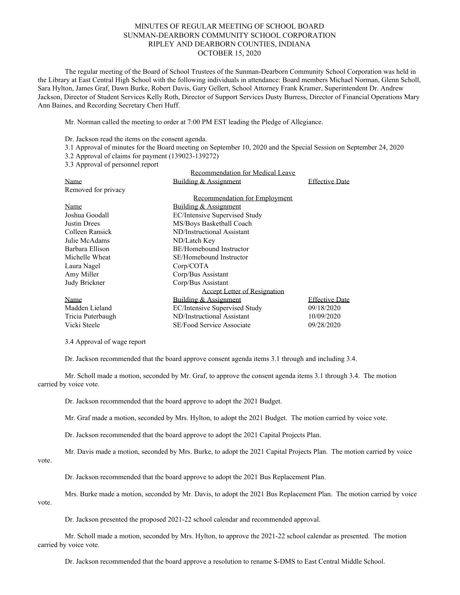## MINUTES OF REGULAR MEETING OF SCHOOL BOARD SUNMAN-DEARBORN COMMUNITY SCHOOL CORPORATION RIPLEY AND DEARBORN COUNTIES, INDIANA OCTOBER 15, 2020

The regular meeting of the Board of School Trustees of the Sunman-Dearborn Community School Corporation was held in the Library at East Central High School with the following individuals in attendance: Board members Michael Norman, Glenn Scholl, Sara Hylton, James Graf, Dawn Burke, Robert Davis, Gary Gellert, School Attorney Frank Kramer, Superintendent Dr. Andrew Jackson, Director of Student Services Kelly Roth, Director of Support Services Dusty Burress, Director of Financial Operations Mary Ann Baines, and Recording Secretary Cheri Huff.

Mr. Norman called the meeting to order at 7:00 PM EST leading the Pledge of Allegiance.

Dr. Jackson read the items on the consent agenda.

- 3.1 Approval of minutes for the Board meeting on September 10, 2020 and the Special Session on September 24, 2020
- 3.2 Approval of claims for payment (139023-139272)

3.3 Approval of personnel report

|                     | Recommendation for Medical Leave    |                       |
|---------------------|-------------------------------------|-----------------------|
| Name                | Building & Assignment               | <b>Effective Date</b> |
| Removed for privacy |                                     |                       |
|                     | Recommendation for Employment       |                       |
| Name                | Building & Assignment               |                       |
| Joshua Goodall      | EC/Intensive Supervised Study       |                       |
| Justin Drees        | MS/Boys Basketball Coach            |                       |
| Colleen Ransick     | ND/Instructional Assistant          |                       |
| Julie McAdams       | ND/Latch Key                        |                       |
| Barbara Ellison     | BE/Homebound Instructor             |                       |
| Michelle Wheat      | SE/Homebound Instructor             |                       |
| Laura Nagel         | Corp/COTA                           |                       |
| Amy Miller          | Corp/Bus Assistant                  |                       |
| Judy Brickner       | Corp/Bus Assistant                  |                       |
|                     | <b>Accept Letter of Resignation</b> |                       |
| Name                | Building & Assignment               | <b>Effective Date</b> |
| Madden Lieland      | EC/Intensive Supervised Study       | 09/18/2020            |
| Tricia Puterbaugh   | ND/Instructional Assistant          | 10/09/2020            |
| Vicki Steele        | SE/Food Service Associate           | 09/28/2020            |

3.4 Approval of wage report

Dr. Jackson recommended that the board approve consent agenda items 3.1 through and including 3.4.

Mr. Scholl made a motion, seconded by Mr. Graf, to approve the consent agenda items 3.1 through 3.4. The motion carried by voice vote.

Dr. Jackson recommended that the board approve to adopt the 2021 Budget.

Mr. Graf made a motion, seconded by Mrs. Hylton, to adopt the 2021 Budget. The motion carried by voice vote.

Dr. Jackson recommended that the board approve to adopt the 2021 Capital Projects Plan.

Mr. Davis made a motion, seconded by Mrs. Burke, to adopt the 2021 Capital Projects Plan. The motion carried by voice

vote.

Dr. Jackson recommended that the board approve to adopt the 2021 Bus Replacement Plan.

Mrs. Burke made a motion, seconded by Mr. Davis, to adopt the 2021 Bus Replacement Plan. The motion carried by voice vote.

Dr. Jackson presented the proposed 2021-22 school calendar and recommended approval.

Mr. Scholl made a motion, seconded by Mrs. Hylton, to approve the 2021-22 school calendar as presented. The motion carried by voice vote.

Dr. Jackson recommended that the board approve a resolution to rename S-DMS to East Central Middle School.